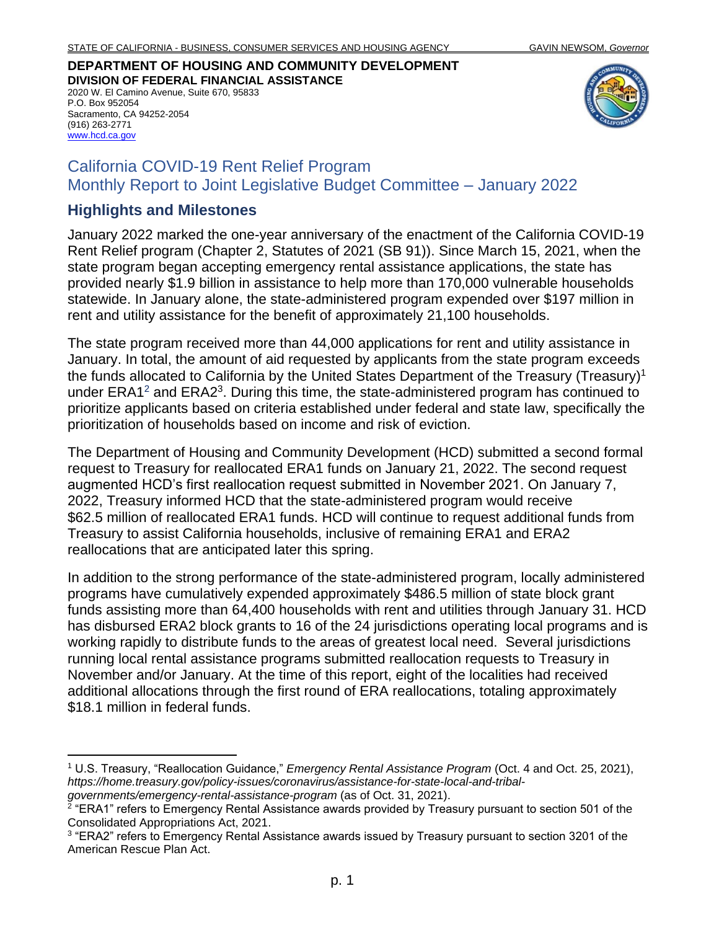**DEPARTMENT OF HOUSING AND COMMUNITY DEVELOPMENT DIVISION OF FEDERAL FINANCIAL ASSISTANCE** 2020 W. El Camino Avenue, Suite 670, 95833

P.O. Box 952054 Sacramento, CA 94252-2054 (916) 263-2771 [www.hcd.ca.gov](http://www.hcd.ca.gov/)



# California COVID-19 Rent Relief Program Monthly Report to Joint Legislative Budget Committee – January 2022

#### **Highlights and Milestones**

January 2022 marked the one-year anniversary of the enactment of the California COVID-19 Rent Relief program (Chapter 2, Statutes of 2021 (SB 91)). Since March 15, 2021, when the state program began accepting emergency rental assistance applications, the state has provided nearly \$1.9 billion in assistance to help more than 170,000 vulnerable households statewide. In January alone, the state-administered program expended over \$197 million in rent and utility assistance for the benefit of approximately 21,100 households.

The state program received more than 44,000 applications for rent and utility assistance in January. In total, the amount of aid requested by applicants from the state program exceeds the funds allocated to California by the United States Department of the Treasury (Treasury)<sup>1</sup> under ERA1<sup>2</sup> and ERA2<sup>3</sup>. During this time, the state-administered program has continued to prioritize applicants based on criteria established under federal and state law, specifically the prioritization of households based on income and risk of eviction.

The Department of Housing and Community Development (HCD) submitted a second formal request to Treasury for reallocated ERA1 funds on January 21, 2022. The second request augmented HCD's first reallocation request submitted in November 2021. On January 7, 2022, Treasury informed HCD that the state-administered program would receive \$62.5 million of reallocated ERA1 funds. HCD will continue to request additional funds from Treasury to assist California households, inclusive of remaining ERA1 and ERA2 reallocations that are anticipated later this spring.

In addition to the strong performance of the state-administered program, locally administered programs have cumulatively expended approximately \$486.5 million of state block grant funds assisting more than 64,400 households with rent and utilities through January 31. HCD has disbursed ERA2 block grants to 16 of the 24 jurisdictions operating local programs and is working rapidly to distribute funds to the areas of greatest local need. Several jurisdictions running local rental assistance programs submitted reallocation requests to Treasury in November and/or January. At the time of this report, eight of the localities had received additional allocations through the first round of ERA reallocations, totaling approximately \$18.1 million in federal funds.

<sup>1</sup> U.S. Treasury, "Reallocation Guidance," *Emergency Rental Assistance Program* (Oct. 4 and Oct. 25, 2021), *https://home.treasury.gov/policy-issues/coronavirus/assistance-for-state-local-and-tribalgovernments/emergency-rental-assistance-program* (as of Oct. 31, 2021).

 $2$  "ERA1" refers to Emergency Rental Assistance awards provided by Treasury pursuant to section 501 of the Consolidated Appropriations Act, 2021.

<sup>&</sup>lt;sup>3</sup> "ERA2" refers to Emergency Rental Assistance awards issued by Treasury pursuant to section 3201 of the American Rescue Plan Act.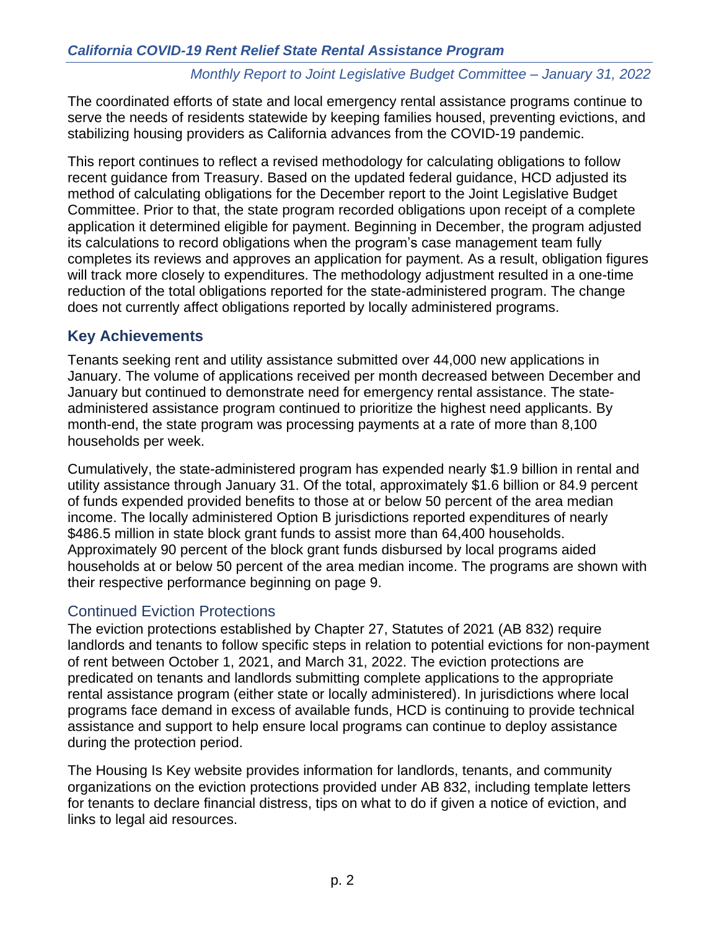The coordinated efforts of state and local emergency rental assistance programs continue to serve the needs of residents statewide by keeping families housed, preventing evictions, and stabilizing housing providers as California advances from the COVID-19 pandemic.

This report continues to reflect a revised methodology for calculating obligations to follow recent guidance from Treasury. Based on the updated federal guidance, HCD adjusted its method of calculating obligations for the December report to the Joint Legislative Budget Committee. Prior to that, the state program recorded obligations upon receipt of a complete application it determined eligible for payment. Beginning in December, the program adjusted its calculations to record obligations when the program's case management team fully completes its reviews and approves an application for payment. As a result, obligation figures will track more closely to expenditures. The methodology adjustment resulted in a one-time reduction of the total obligations reported for the state-administered program. The change does not currently affect obligations reported by locally administered programs.

#### **Key Achievements**

Tenants seeking rent and utility assistance submitted over 44,000 new applications in January. The volume of applications received per month decreased between December and January but continued to demonstrate need for emergency rental assistance. The stateadministered assistance program continued to prioritize the highest need applicants. By month-end, the state program was processing payments at a rate of more than 8,100 households per week.

Cumulatively, the state-administered program has expended nearly \$1.9 billion in rental and utility assistance through January 31. Of the total, approximately \$1.6 billion or 84.9 percent of funds expended provided benefits to those at or below 50 percent of the area median income. The locally administered Option B jurisdictions reported expenditures of nearly \$486.5 million in state block grant funds to assist more than 64,400 households. Approximately 90 percent of the block grant funds disbursed by local programs aided households at or below 50 percent of the area median income. The programs are shown with their respective performance beginning on page [9.](#page-8-0)

#### Continued Eviction Protections

The eviction protections established by Chapter 27, Statutes of 2021 (AB 832) require landlords and tenants to follow specific steps in relation to potential evictions for non-payment of rent between October 1, 2021, and March 31, 2022. The eviction protections are predicated on tenants and landlords submitting complete applications to the appropriate rental assistance program (either state or locally administered). In jurisdictions where local programs face demand in excess of available funds, HCD is continuing to provide technical assistance and support to help ensure local programs can continue to deploy assistance during the protection period.

The Housing Is Key website provides information for landlords, tenants, and community organizations on the eviction protections provided under AB 832, including template letters for tenants to declare financial distress, tips on what to do if given a notice of eviction, and links to legal aid resources.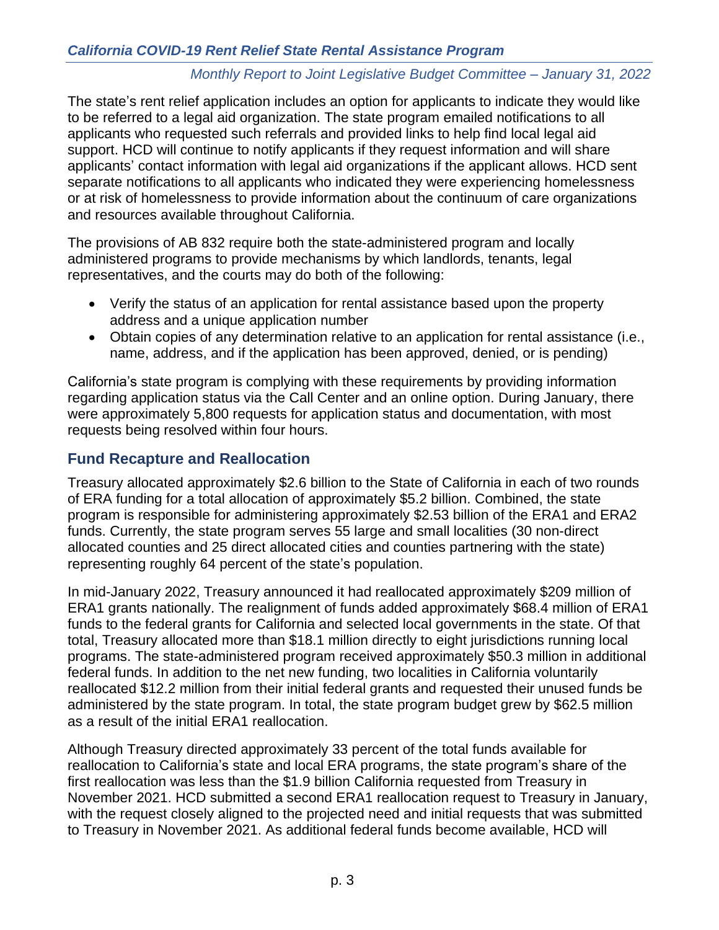The state's rent relief application includes an option for applicants to indicate they would like to be referred to a legal aid organization. The state program emailed notifications to all applicants who requested such referrals and provided links to help find local legal aid support. HCD will continue to notify applicants if they request information and will share applicants' contact information with legal aid organizations if the applicant allows. HCD sent separate notifications to all applicants who indicated they were experiencing homelessness or at risk of homelessness to provide information about the continuum of care organizations and resources available throughout California.

The provisions of AB 832 require both the state-administered program and locally administered programs to provide mechanisms by which landlords, tenants, legal representatives, and the courts may do both of the following:

- Verify the status of an application for rental assistance based upon the property address and a unique application number
- Obtain copies of any determination relative to an application for rental assistance (i.e., name, address, and if the application has been approved, denied, or is pending)

California's state program is complying with these requirements by providing information regarding application status via the Call Center and an online option. During January, there were approximately 5,800 requests for application status and documentation, with most requests being resolved within four hours.

# <span id="page-2-0"></span>**Fund Recapture and Reallocation**

Treasury allocated approximately \$2.6 billion to the State of California in each of two rounds of ERA funding for a total allocation of approximately \$5.2 billion. Combined, the state program is responsible for administering approximately \$2.53 billion of the ERA1 and ERA2 funds. Currently, the state program serves 55 large and small localities (30 non-direct allocated counties and 25 direct allocated cities and counties partnering with the state) representing roughly 64 percent of the state's population.

In mid-January 2022, Treasury announced it had reallocated approximately \$209 million of ERA1 grants nationally. The realignment of funds added approximately \$68.4 million of ERA1 funds to the federal grants for California and selected local governments in the state. Of that total, Treasury allocated more than \$18.1 million directly to eight jurisdictions running local programs. The state-administered program received approximately \$50.3 million in additional federal funds. In addition to the net new funding, two localities in California voluntarily reallocated \$12.2 million from their initial federal grants and requested their unused funds be administered by the state program. In total, the state program budget grew by \$62.5 million as a result of the initial ERA1 reallocation.

Although Treasury directed approximately 33 percent of the total funds available for reallocation to California's state and local ERA programs, the state program's share of the first reallocation was less than the \$1.9 billion California requested from Treasury in November 2021. HCD submitted a second ERA1 reallocation request to Treasury in January, with the request closely aligned to the projected need and initial requests that was submitted to Treasury in November 2021. As additional federal funds become available, HCD will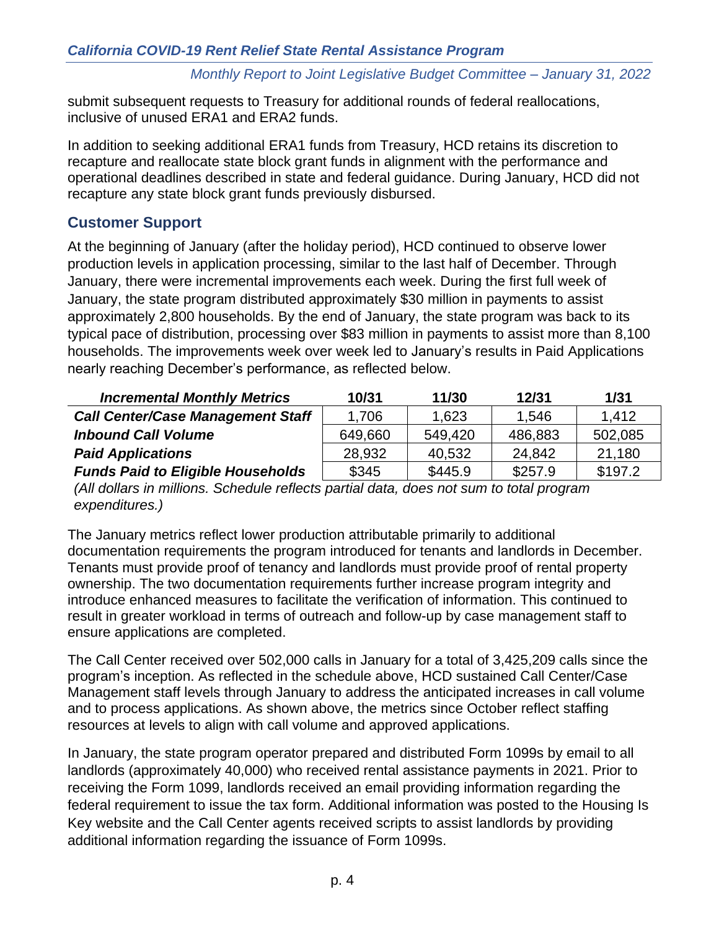submit subsequent requests to Treasury for additional rounds of federal reallocations, inclusive of unused ERA1 and ERA2 funds.

In addition to seeking additional ERA1 funds from Treasury, HCD retains its discretion to recapture and reallocate state block grant funds in alignment with the performance and operational deadlines described in state and federal guidance. During January, HCD did not recapture any state block grant funds previously disbursed.

# **Customer Support**

At the beginning of January (after the holiday period), HCD continued to observe lower production levels in application processing, similar to the last half of December. Through January, there were incremental improvements each week. During the first full week of January, the state program distributed approximately \$30 million in payments to assist approximately 2,800 households. By the end of January, the state program was back to its typical pace of distribution, processing over \$83 million in payments to assist more than 8,100 households. The improvements week over week led to January's results in Paid Applications nearly reaching December's performance, as reflected below.

| <b>Incremental Monthly Metrics</b>       | 10/31   | 11/30   | 12/31   | 1/31    |
|------------------------------------------|---------|---------|---------|---------|
| <b>Call Center/Case Management Staff</b> | 1,706   | 1,623   | 1.546   | 1,412   |
| <b>Inbound Call Volume</b>               | 649,660 | 549.420 | 486,883 | 502,085 |
| <b>Paid Applications</b>                 | 28,932  | 40,532  | 24,842  | 21,180  |
| <b>Funds Paid to Eligible Households</b> | \$345   | \$445.9 | \$257.9 | \$197.2 |

*(All dollars in millions. Schedule reflects partial data, does not sum to total program expenditures.)*

The January metrics reflect lower production attributable primarily to additional documentation requirements the program introduced for tenants and landlords in December. Tenants must provide proof of tenancy and landlords must provide proof of rental property ownership. The two documentation requirements further increase program integrity and introduce enhanced measures to facilitate the verification of information. This continued to result in greater workload in terms of outreach and follow-up by case management staff to ensure applications are completed.

The Call Center received over 502,000 calls in January for a total of 3,425,209 calls since the program's inception. As reflected in the schedule above, HCD sustained Call Center/Case Management staff levels through January to address the anticipated increases in call volume and to process applications. As shown above, the metrics since October reflect staffing resources at levels to align with call volume and approved applications.

In January, the state program operator prepared and distributed Form 1099s by email to all landlords (approximately 40,000) who received rental assistance payments in 2021. Prior to receiving the Form 1099, landlords received an email providing information regarding the federal requirement to issue the tax form. Additional information was posted to the Housing Is Key website and the Call Center agents received scripts to assist landlords by providing additional information regarding the issuance of Form 1099s.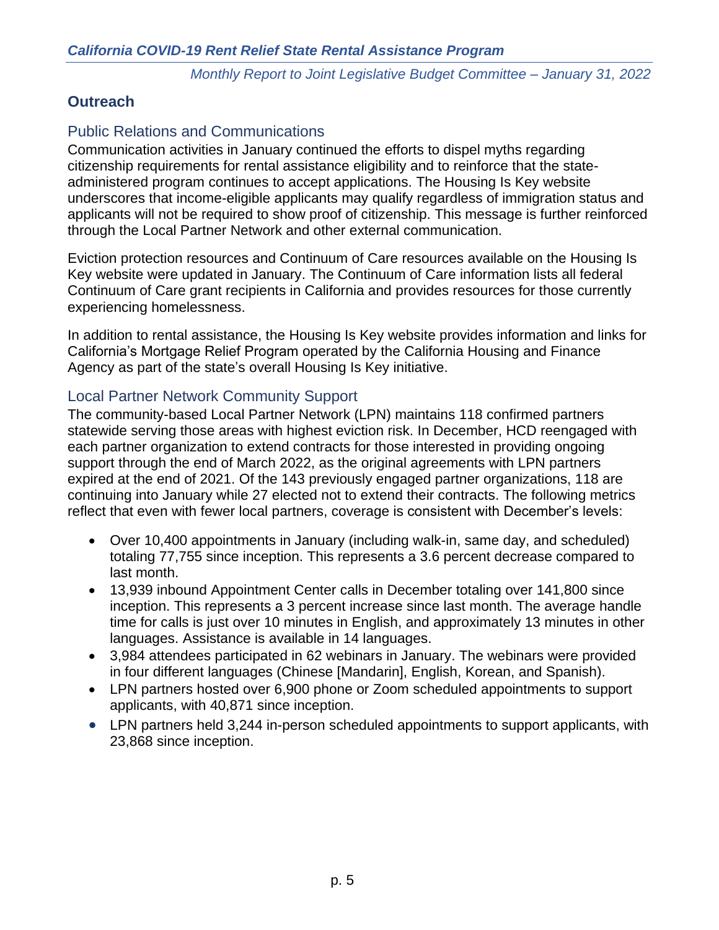# **Outreach**

# Public Relations and Communications

Communication activities in January continued the efforts to dispel myths regarding citizenship requirements for rental assistance eligibility and to reinforce that the stateadministered program continues to accept applications. The Housing Is Key website underscores that income-eligible applicants may qualify regardless of immigration status and applicants will not be required to show proof of citizenship. This message is further reinforced through the Local Partner Network and other external communication.

Eviction protection resources and Continuum of Care resources available on the Housing Is Key website were updated in January. The Continuum of Care information lists all federal Continuum of Care grant recipients in California and provides resources for those currently experiencing homelessness.

In addition to rental assistance, the Housing Is Key website provides information and links for California's Mortgage Relief Program operated by the California Housing and Finance Agency as part of the state's overall Housing Is Key initiative.

### Local Partner Network Community Support

The community-based Local Partner Network (LPN) maintains 118 confirmed partners statewide serving those areas with highest eviction risk. In December, HCD reengaged with each partner organization to extend contracts for those interested in providing ongoing support through the end of March 2022, as the original agreements with LPN partners expired at the end of 2021. Of the 143 previously engaged partner organizations, 118 are continuing into January while 27 elected not to extend their contracts. The following metrics reflect that even with fewer local partners, coverage is consistent with December's levels:

- Over 10,400 appointments in January (including walk-in, same day, and scheduled) totaling 77,755 since inception. This represents a 3.6 percent decrease compared to last month.
- 13,939 inbound Appointment Center calls in December totaling over 141,800 since inception. This represents a 3 percent increase since last month. The average handle time for calls is just over 10 minutes in English, and approximately 13 minutes in other languages. Assistance is available in 14 languages.
- 3,984 attendees participated in 62 webinars in January. The webinars were provided in four different languages (Chinese [Mandarin], English, Korean, and Spanish).
- LPN partners hosted over 6,900 phone or Zoom scheduled appointments to support applicants, with 40,871 since inception.
- LPN partners held 3,244 in-person scheduled appointments to support applicants, with 23,868 since inception.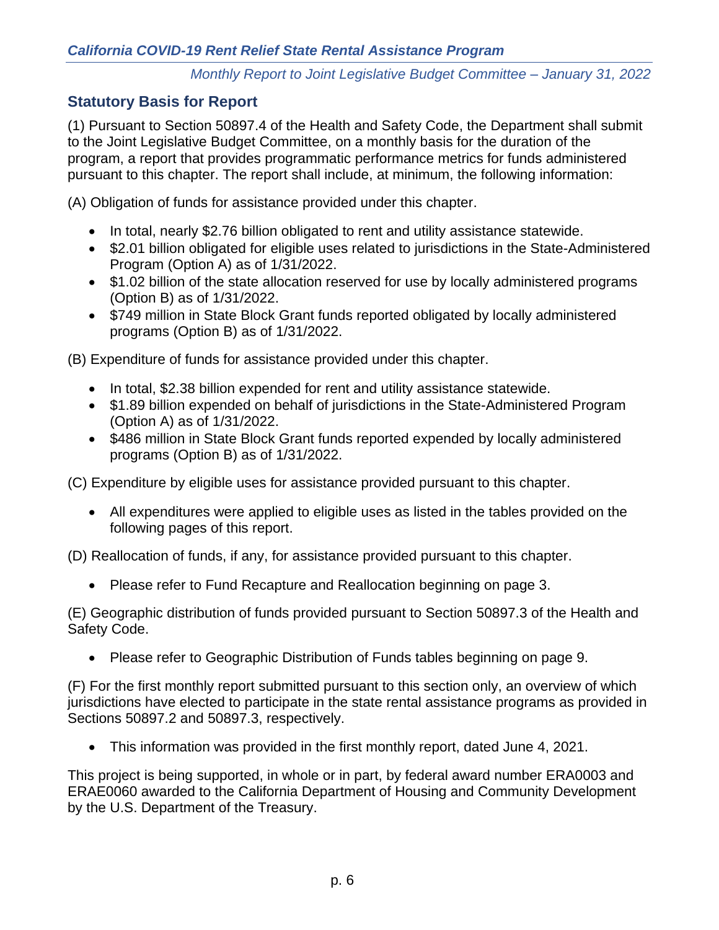# **Statutory Basis for Report**

(1) Pursuant to Section 50897.4 of the Health and Safety Code, the Department shall submit to the Joint Legislative Budget Committee, on a monthly basis for the duration of the program, a report that provides programmatic performance metrics for funds administered pursuant to this chapter. The report shall include, at minimum, the following information:

(A) Obligation of funds for assistance provided under this chapter.

- In total, nearly \$2.76 billion obligated to rent and utility assistance statewide.
- \$2.01 billion obligated for eligible uses related to jurisdictions in the State-Administered Program (Option A) as of 1/31/2022.
- \$1.02 billion of the state allocation reserved for use by locally administered programs (Option B) as of 1/31/2022.
- \$749 million in State Block Grant funds reported obligated by locally administered programs (Option B) as of 1/31/2022.

(B) Expenditure of funds for assistance provided under this chapter.

- In total, \$2.38 billion expended for rent and utility assistance statewide.
- \$1.89 billion expended on behalf of jurisdictions in the State-Administered Program (Option A) as of 1/31/2022.
- \$486 million in State Block Grant funds reported expended by locally administered programs (Option B) as of 1/31/2022.

(C) Expenditure by eligible uses for assistance provided pursuant to this chapter.

• All expenditures were applied to eligible uses as listed in the tables provided on the following pages of this report.

(D) Reallocation of funds, if any, for assistance provided pursuant to this chapter.

• Please refer to [Fund Recapture and Reallocation](#page-2-0) beginning on page [3.](#page-2-0)

(E) Geographic distribution of funds provided pursuant to Section 50897.3 of the Health and Safety Code.

• Please refer to [Geographic Distribution](#page-8-1) of Funds tables beginning on page [9.](#page-8-1)

(F) For the first monthly report submitted pursuant to this section only, an overview of which jurisdictions have elected to participate in the state rental assistance programs as provided in Sections 50897.2 and 50897.3, respectively.

• This information was provided in the first monthly report, dated June 4, 2021.

This project is being supported, in whole or in part, by federal award number ERA0003 and ERAE0060 awarded to the California Department of Housing and Community Development by the U.S. Department of the Treasury.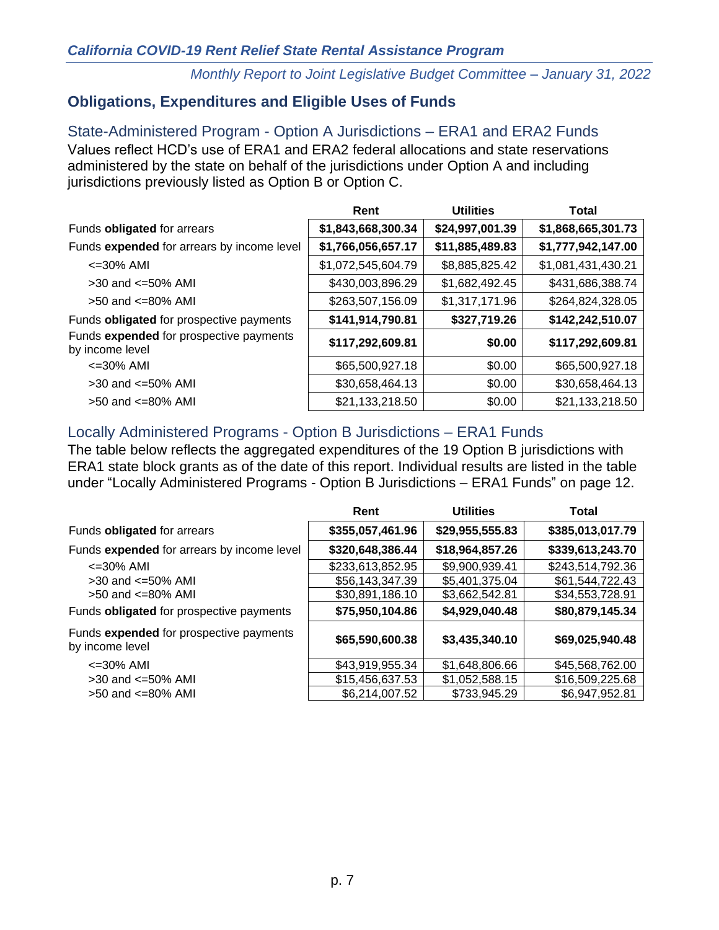# **Obligations, Expenditures and Eligible Uses of Funds**

State-Administered Program - Option A Jurisdictions – ERA1 and ERA2 Funds Values reflect HCD's use of ERA1 and ERA2 federal allocations and state reservations administered by the state on behalf of the jurisdictions under Option A and including jurisdictions previously listed as Option B or Option C.

|                                                            | Rent               | <b>Utilities</b> | Total              |
|------------------------------------------------------------|--------------------|------------------|--------------------|
| Funds obligated for arrears                                | \$1,843,668,300.34 | \$24,997,001.39  | \$1,868,665,301.73 |
| Funds expended for arrears by income level                 | \$1,766,056,657.17 | \$11,885,489.83  | \$1,777,942,147.00 |
| $\epsilon = 30\%$ AMI                                      | \$1,072,545,604.79 | \$8,885,825.42   | \$1,081,431,430.21 |
| $>30$ and $\leq 50\%$ AMI                                  | \$430,003,896.29   | \$1,682,492.45   | \$431,686,388.74   |
| $>50$ and $\leq 80\%$ AMI                                  | \$263,507,156.09   | \$1,317,171.96   | \$264,824,328.05   |
| Funds obligated for prospective payments                   | \$141,914,790.81   | \$327,719.26     | \$142,242,510.07   |
| Funds expended for prospective payments<br>by income level | \$117,292,609.81   | \$0.00           | \$117,292,609.81   |
| $\leq$ 30% AMI                                             | \$65,500,927.18    | \$0.00           | \$65,500,927.18    |
| $>30$ and $\leq 50\%$ AMI                                  | \$30,658,464.13    | \$0.00           | \$30,658,464.13    |
| $>50$ and $\leq 80\%$ AMI                                  | \$21,133,218.50    | \$0.00           | \$21,133,218.50    |

# Locally Administered Programs - Option B Jurisdictions – ERA1 Funds

The table below reflects the aggregated expenditures of the 19 Option B jurisdictions with ERA1 state block grants as of the date of this report. Individual results are listed in the table under ["Locally Administered Programs -](#page-11-0) Option B Jurisdictions – ERA1 Funds" on page [12.](#page-11-0)

|                                                            | Rent             | <b>Utilities</b> | <b>Total</b>     |
|------------------------------------------------------------|------------------|------------------|------------------|
| Funds obligated for arrears                                | \$355,057,461.96 | \$29,955,555.83  | \$385,013,017.79 |
| Funds expended for arrears by income level                 | \$320,648,386.44 | \$18,964,857.26  | \$339,613,243.70 |
| $\epsilon$ =30% AMI                                        | \$233,613,852.95 | \$9,900,939.41   | \$243,514,792.36 |
| $>30$ and $\leq 50\%$ AMI                                  | \$56,143,347.39  | \$5,401,375.04   | \$61,544,722.43  |
| $>50$ and $\leq 80\%$ AMI                                  | \$30,891,186.10  | \$3,662,542.81   | \$34,553,728.91  |
| Funds obligated for prospective payments                   | \$75,950,104.86  | \$4,929,040.48   | \$80,879,145.34  |
| Funds expended for prospective payments<br>by income level | \$65,590,600.38  | \$3,435,340.10   | \$69,025,940.48  |
| $\epsilon$ =30% AMI                                        | \$43,919,955.34  | \$1,648,806.66   | \$45,568,762.00  |
| $>30$ and $\leq 50\%$ AMI                                  | \$15,456,637.53  | \$1,052,588.15   | \$16,509,225.68  |
| $>50$ and $\leq 80\%$ AMI                                  | \$6,214,007.52   | \$733,945.29     | \$6,947,952.81   |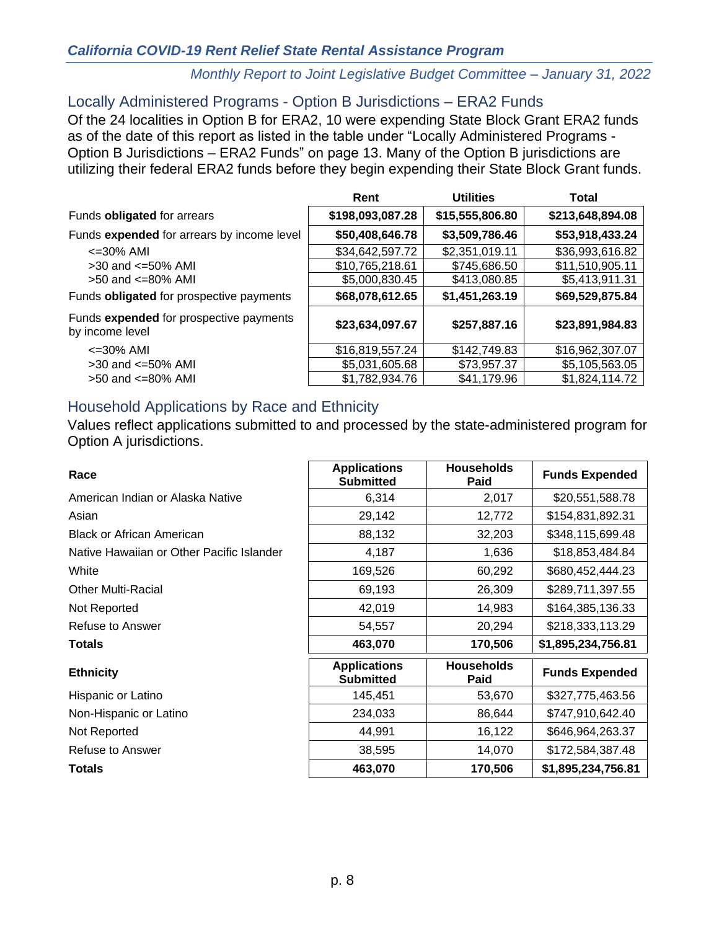#### *California COVID-19 Rent Relief State Rental Assistance Program*

#### *Monthly Report to Joint Legislative Budget Committee – January 31, 2022*

#### Locally Administered Programs - Option B Jurisdictions – ERA2 Funds

Of the 24 localities in Option B for ERA2, 10 were expending State Block Grant ERA2 funds as of the date of this report as listed in the table under ["Locally Administered Programs -](#page-12-0) [Option B Jurisdictions –](#page-12-0) ERA2 Funds" on page [13.](#page-12-0) Many of the Option B jurisdictions are utilizing their federal ERA2 funds before they begin expending their State Block Grant funds.

|                                                            | Rent             | <b>Utilities</b> | <b>Total</b>     |
|------------------------------------------------------------|------------------|------------------|------------------|
| Funds obligated for arrears                                | \$198,093,087.28 | \$15,555,806.80  | \$213,648,894.08 |
| Funds expended for arrears by income level                 | \$50,408,646.78  | \$3,509,786.46   | \$53,918,433.24  |
| $\epsilon$ =30% AMI                                        | \$34,642,597.72  | \$2,351,019.11   | \$36,993,616.82  |
| $>30$ and $\leq 50\%$ AMI                                  | \$10,765,218.61  | \$745,686.50     | \$11,510,905.11  |
| $>50$ and $\leq 80\%$ AMI                                  | \$5,000,830.45   | \$413,080.85     | \$5,413,911.31   |
| Funds obligated for prospective payments                   | \$68,078,612.65  | \$1,451,263.19   | \$69,529,875.84  |
| Funds expended for prospective payments<br>by income level | \$23,634,097.67  | \$257,887.16     | \$23,891,984.83  |
| $\epsilon$ =30% AMI                                        | \$16,819,557.24  | \$142,749.83     | \$16,962,307.07  |
| $>30$ and $\leq 50\%$ AMI                                  | \$5,031,605.68   | \$73,957.37      | \$5,105,563.05   |
| $>50$ and $\leq 80\%$ AMI                                  | \$1,782,934.76   | \$41,179.96      | \$1,824,114.72   |

#### Household Applications by Race and Ethnicity

Values reflect applications submitted to and processed by the state-administered program for Option A jurisdictions.

| Race                                      | <b>Applications</b><br><b>Submitted</b> | <b>Households</b><br>Paid | <b>Funds Expended</b> |
|-------------------------------------------|-----------------------------------------|---------------------------|-----------------------|
| American Indian or Alaska Native          | 6,314                                   | 2,017                     | \$20,551,588.78       |
| Asian                                     | 29,142                                  | 12,772                    | \$154,831,892.31      |
| <b>Black or African American</b>          | 88,132                                  | 32,203                    | \$348,115,699.48      |
| Native Hawaiian or Other Pacific Islander | 4,187                                   | 1,636                     | \$18,853,484.84       |
| White                                     | 169,526                                 | 60,292                    | \$680,452,444.23      |
| <b>Other Multi-Racial</b>                 | 69,193                                  | 26,309                    | \$289,711,397.55      |
| Not Reported                              | 42,019                                  | 14,983                    | \$164,385,136.33      |
| Refuse to Answer                          | 54,557                                  | 20,294                    | \$218,333,113.29      |
| <b>Totals</b>                             | 463,070                                 | 170,506                   | \$1,895,234,756.81    |
| <b>Ethnicity</b>                          | <b>Applications</b><br><b>Submitted</b> | <b>Households</b><br>Paid | <b>Funds Expended</b> |
| Hispanic or Latino                        | 145,451                                 | 53,670                    | \$327,775,463.56      |
| Non-Hispanic or Latino                    | 234,033                                 | 86,644                    | \$747,910,642.40      |
| Not Reported                              | 44,991                                  | 16,122                    | \$646,964,263.37      |
| Refuse to Answer                          | 38,595                                  | 14,070                    | \$172,584,387.48      |
| <b>Totals</b>                             | 463,070                                 | 170,506                   | \$1,895,234,756.81    |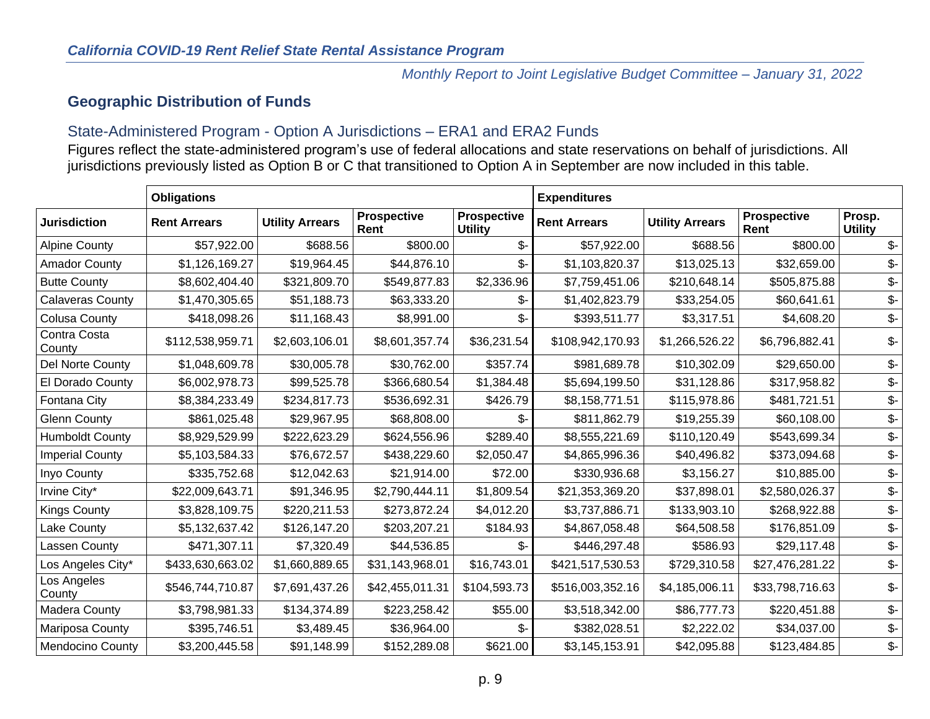# **Geographic Distribution of Funds**

### State-Administered Program - Option A Jurisdictions – ERA1 and ERA2 Funds

Figures reflect the state-administered program's use of federal allocations and state reservations on behalf of jurisdictions. All jurisdictions previously listed as Option B or C that transitioned to Option A in September are now included in this table.

<span id="page-8-1"></span><span id="page-8-0"></span>

|                         | <b>Obligations</b>  |                        |                            |                                      | <b>Expenditures</b> |                        |                            |                          |
|-------------------------|---------------------|------------------------|----------------------------|--------------------------------------|---------------------|------------------------|----------------------------|--------------------------|
| <b>Jurisdiction</b>     | <b>Rent Arrears</b> | <b>Utility Arrears</b> | <b>Prospective</b><br>Rent | <b>Prospective</b><br><b>Utility</b> | <b>Rent Arrears</b> | <b>Utility Arrears</b> | <b>Prospective</b><br>Rent | Prosp.<br><b>Utility</b> |
| <b>Alpine County</b>    | \$57,922.00         | \$688.56               | \$800.00                   | \$-                                  | \$57,922.00         | \$688.56               | \$800.00                   | $\mathcal{S}$ -          |
| <b>Amador County</b>    | \$1,126,169.27      | \$19,964.45            | \$44,876.10                | \$-                                  | \$1,103,820.37      | \$13,025.13            | \$32,659.00                | \$-                      |
| <b>Butte County</b>     | \$8,602,404.40      | \$321,809.70           | \$549,877.83               | \$2,336.96                           | \$7,759,451.06      | \$210,648.14           | \$505,875.88               | \$-                      |
| <b>Calaveras County</b> | \$1,470,305.65      | \$51,188.73            | \$63,333.20                | \$-                                  | \$1,402,823.79      | \$33,254.05            | \$60,641.61                | $\mathcal{L}$            |
| <b>Colusa County</b>    | \$418,098.26        | \$11,168.43            | \$8,991.00                 | \$-                                  | \$393,511.77        | \$3,317.51             | \$4,608.20                 | \$-                      |
| Contra Costa<br>County  | \$112,538,959.71    | \$2,603,106.01         | \$8,601,357.74             | \$36,231.54                          | \$108,942,170.93    | \$1,266,526.22         | \$6,796,882.41             | $\frac{2}{3}$            |
| Del Norte County        | \$1,048,609.78      | \$30,005.78            | \$30,762.00                | \$357.74                             | \$981,689.78        | \$10,302.09            | \$29,650.00                | \$-                      |
| El Dorado County        | \$6,002,978.73      | \$99,525.78            | \$366,680.54               | \$1,384.48                           | \$5,694,199.50      | \$31,128.86            | \$317,958.82               | $\mathcal{L}$            |
| Fontana City            | \$8,384,233.49      | \$234,817.73           | \$536,692.31               | \$426.79                             | \$8,158,771.51      | \$115,978.86           | \$481,721.51               | \$-                      |
| <b>Glenn County</b>     | \$861,025.48        | \$29,967.95            | \$68,808.00                | \$-                                  | \$811,862.79        | \$19,255.39            | \$60,108.00                | \$-                      |
| <b>Humboldt County</b>  | \$8,929,529.99      | \$222,623.29           | \$624,556.96               | \$289.40                             | \$8,555,221.69      | \$110,120.49           | \$543,699.34               | \$-                      |
| <b>Imperial County</b>  | \$5,103,584.33      | \$76,672.57            | \$438,229.60               | \$2,050.47                           | \$4,865,996.36      | \$40,496.82            | \$373,094.68               | \$-                      |
| Inyo County             | \$335,752.68        | \$12,042.63            | \$21,914.00                | \$72.00                              | \$330,936.68        | \$3,156.27             | \$10,885.00                | \$-                      |
| Irvine City*            | \$22,009,643.71     | \$91,346.95            | \$2,790,444.11             | \$1,809.54                           | \$21,353,369.20     | \$37,898.01            | \$2,580,026.37             | \$-                      |
| <b>Kings County</b>     | \$3,828,109.75      | \$220,211.53           | \$273,872.24               | \$4,012.20                           | \$3,737,886.71      | \$133,903.10           | \$268,922.88               | \$-                      |
| Lake County             | \$5,132,637.42      | \$126,147.20           | \$203,207.21               | \$184.93                             | \$4,867,058.48      | \$64,508.58            | \$176,851.09               | \$-                      |
| Lassen County           | \$471,307.11        | \$7,320.49             | \$44,536.85                | ዴ-                                   | \$446,297.48        | \$586.93               | \$29,117.48                | \$-                      |
| Los Angeles City*       | \$433,630,663.02    | \$1,660,889.65         | \$31,143,968.01            | \$16,743.01                          | \$421,517,530.53    | \$729,310.58           | \$27,476,281.22            | \$-                      |
| Los Angeles<br>County   | \$546,744,710.87    | \$7,691,437.26         | \$42,455,011.31            | \$104,593.73                         | \$516,003,352.16    | \$4,185,006.11         | \$33,798,716.63            | $\frac{2}{3}$            |
| <b>Madera County</b>    | \$3,798,981.33      | \$134,374.89           | \$223,258.42               | \$55.00                              | \$3,518,342.00      | \$86,777.73            | \$220,451.88               | \$-                      |
| Mariposa County         | \$395,746.51        | \$3,489.45             | \$36,964.00                | \$-                                  | \$382,028.51        | \$2,222.02             | \$34,037.00                | \$-                      |
| <b>Mendocino County</b> | \$3,200,445.58      | \$91,148.99            | \$152,289.08               | \$621.00                             | \$3,145,153.91      | \$42,095.88            | \$123,484.85               | $\mathcal{L}$            |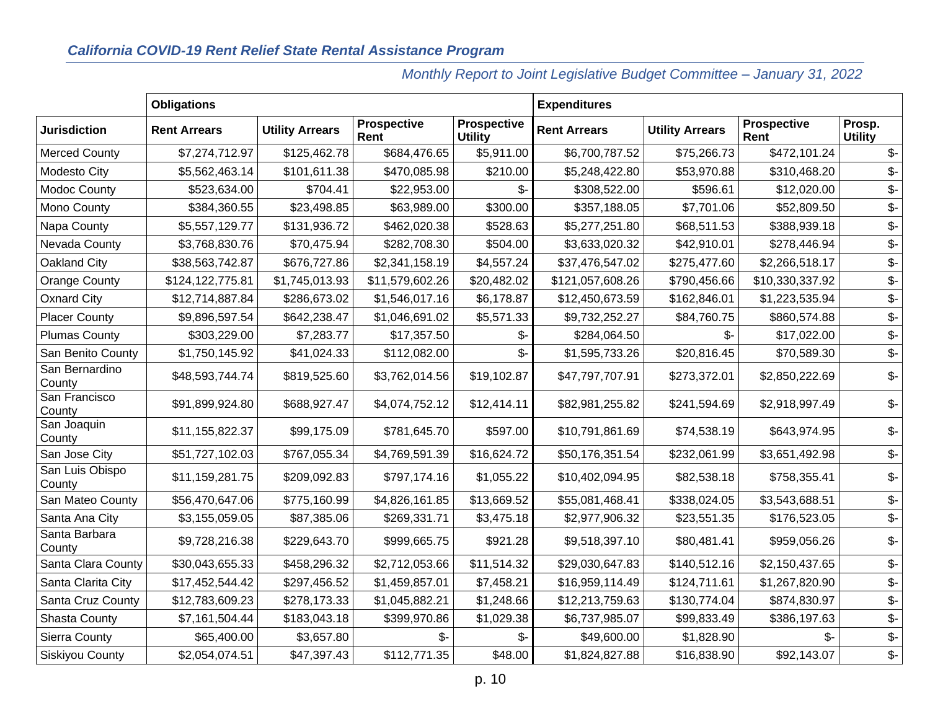| <b>Obligations</b>        |                     |                        |                            | <b>Expenditures</b>                  |                     |                        |                            |                          |
|---------------------------|---------------------|------------------------|----------------------------|--------------------------------------|---------------------|------------------------|----------------------------|--------------------------|
| <b>Jurisdiction</b>       | <b>Rent Arrears</b> | <b>Utility Arrears</b> | <b>Prospective</b><br>Rent | <b>Prospective</b><br><b>Utility</b> | <b>Rent Arrears</b> | <b>Utility Arrears</b> | <b>Prospective</b><br>Rent | Prosp.<br><b>Utility</b> |
| <b>Merced County</b>      | \$7,274,712.97      | \$125,462.78           | \$684,476.65               | \$5,911.00                           | \$6,700,787.52      | \$75,266.73            | \$472,101.24               | $\mathcal{S}$            |
| Modesto City              | \$5,562,463.14      | \$101,611.38           | \$470,085.98               | \$210.00                             | \$5,248,422.80      | \$53,970.88            | \$310,468.20               | \$-                      |
| <b>Modoc County</b>       | \$523,634.00        | \$704.41               | \$22,953.00                | $\mathcal{S}$ -                      | \$308,522.00        | \$596.61               | \$12,020.00                | \$-                      |
| Mono County               | \$384,360.55        | \$23,498.85            | \$63,989.00                | \$300.00                             | \$357,188.05        | \$7,701.06             | \$52,809.50                | \$-                      |
| Napa County               | \$5,557,129.77      | \$131,936.72           | \$462,020.38               | \$528.63                             | \$5,277,251.80      | \$68,511.53            | \$388,939.18               | \$-                      |
| Nevada County             | \$3,768,830.76      | \$70,475.94            | \$282,708.30               | \$504.00                             | \$3,633,020.32      | \$42,910.01            | \$278,446.94               | \$-                      |
| Oakland City              | \$38,563,742.87     | \$676,727.86           | \$2,341,158.19             | \$4,557.24                           | \$37,476,547.02     | \$275,477.60           | \$2,266,518.17             | \$-                      |
| <b>Orange County</b>      | \$124,122,775.81    | \$1,745,013.93         | \$11,579,602.26            | \$20,482.02                          | \$121,057,608.26    | \$790,456.66           | \$10,330,337.92            | \$-                      |
| <b>Oxnard City</b>        | \$12,714,887.84     | \$286,673.02           | \$1,546,017.16             | \$6,178.87                           | \$12,450,673.59     | \$162,846.01           | \$1,223,535.94             | \$-                      |
| <b>Placer County</b>      | \$9,896,597.54      | \$642,238.47           | \$1,046,691.02             | \$5,571.33                           | \$9,732,252.27      | \$84,760.75            | \$860,574.88               | \$-                      |
| <b>Plumas County</b>      | \$303,229.00        | \$7,283.77             | \$17,357.50                | \$-                                  | \$284,064.50        | \$-                    | \$17,022.00                | \$-                      |
| San Benito County         | \$1,750,145.92      | \$41,024.33            | \$112,082.00               | \$-                                  | \$1,595,733.26      | \$20,816.45            | \$70,589.30                | \$-                      |
| San Bernardino<br>County  | \$48,593,744.74     | \$819,525.60           | \$3,762,014.56             | \$19,102.87                          | \$47,797,707.91     | \$273,372.01           | \$2,850,222.69             | \$-                      |
| San Francisco<br>County   | \$91,899,924.80     | \$688,927.47           | \$4,074,752.12             | \$12,414.11                          | \$82,981,255.82     | \$241,594.69           | \$2,918,997.49             | \$-                      |
| San Joaquin<br>County     | \$11,155,822.37     | \$99,175.09            | \$781,645.70               | \$597.00                             | \$10,791,861.69     | \$74,538.19            | \$643,974.95               | \$-                      |
| San Jose City             | \$51,727,102.03     | \$767,055.34           | \$4,769,591.39             | \$16,624.72                          | \$50,176,351.54     | \$232,061.99           | \$3,651,492.98             | \$-                      |
| San Luis Obispo<br>County | \$11,159,281.75     | \$209,092.83           | \$797,174.16               | \$1,055.22                           | \$10,402,094.95     | \$82,538.18            | \$758,355.41               | \$-                      |
| San Mateo County          | \$56,470,647.06     | \$775,160.99           | \$4,826,161.85             | \$13,669.52                          | \$55,081,468.41     | \$338,024.05           | \$3,543,688.51             | \$-                      |
| Santa Ana City            | \$3,155,059.05      | \$87,385.06            | \$269,331.71               | \$3,475.18                           | \$2,977,906.32      | \$23,551.35            | \$176,523.05               | \$-                      |
| Santa Barbara<br>County   | \$9,728,216.38      | \$229,643.70           | \$999,665.75               | \$921.28                             | \$9,518,397.10      | \$80,481.41            | \$959,056.26               | \$-                      |
| Santa Clara County        | \$30,043,655.33     | \$458,296.32           | \$2,712,053.66             | \$11,514.32                          | \$29,030,647.83     | \$140,512.16           | \$2,150,437.65             | \$-                      |
| Santa Clarita City        | \$17,452,544.42     | \$297,456.52           | \$1,459,857.01             | \$7,458.21                           | \$16,959,114.49     | \$124,711.61           | \$1,267,820.90             | \$-                      |
| Santa Cruz County         | \$12,783,609.23     | \$278,173.33           | \$1,045,882.21             | \$1,248.66                           | \$12,213,759.63     | \$130,774.04           | \$874,830.97               | \$-                      |
| <b>Shasta County</b>      | \$7,161,504.44      | \$183,043.18           | \$399,970.86               | \$1,029.38                           | \$6,737,985.07      | \$99,833.49            | \$386,197.63               | \$-                      |
| Sierra County             | \$65,400.00         | \$3,657.80             |                            | \$-                                  | \$49,600.00         | \$1,828.90             | \$-                        | \$-                      |
| <b>Siskiyou County</b>    | \$2,054,074.51      | \$47,397.43            | \$112,771.35               | \$48.00                              | \$1,824,827.88      | \$16,838.90            | \$92,143.07                | \$-                      |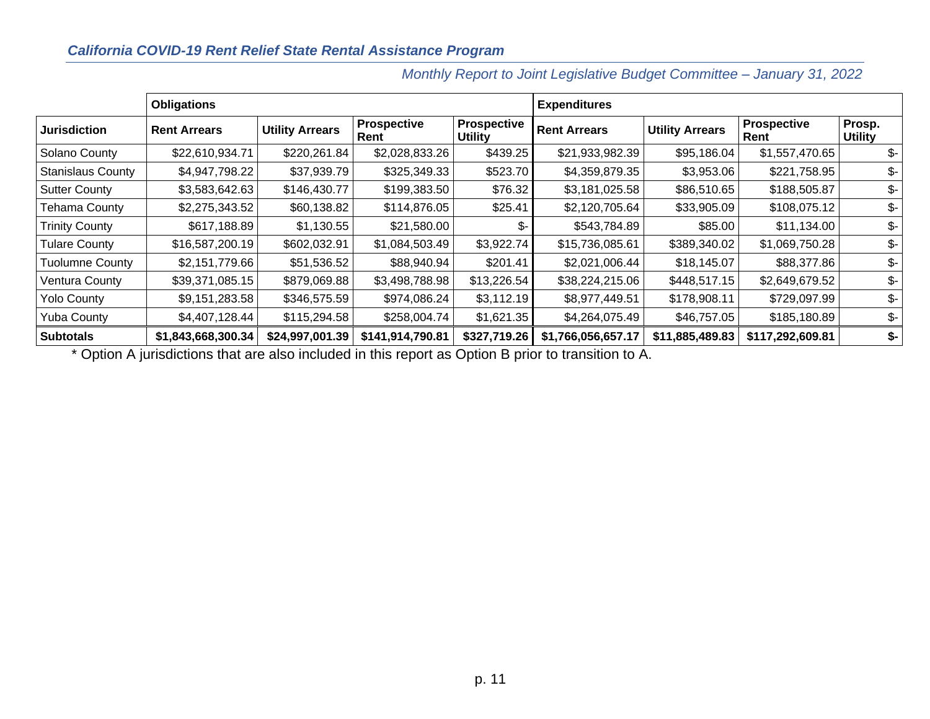### *California COVID-19 Rent Relief State Rental Assistance Program*

|                          | <b>Obligations</b>  |                        |                            |                                      | <b>Expenditures</b> |                        |                            |                          |
|--------------------------|---------------------|------------------------|----------------------------|--------------------------------------|---------------------|------------------------|----------------------------|--------------------------|
| <b>Jurisdiction</b>      | <b>Rent Arrears</b> | <b>Utility Arrears</b> | <b>Prospective</b><br>Rent | <b>Prospective</b><br><b>Utility</b> | <b>Rent Arrears</b> | <b>Utility Arrears</b> | <b>Prospective</b><br>Rent | Prosp.<br><b>Utility</b> |
| Solano County            | \$22,610,934.71     | \$220,261.84           | \$2,028,833.26             | \$439.25                             | \$21,933,982.39     | \$95,186.04            | \$1,557,470.65             | \$-                      |
| <b>Stanislaus County</b> | \$4,947,798.22      | \$37,939.79            | \$325,349.33               | \$523.70                             | \$4,359,879.35      | \$3,953.06             | \$221,758.95               | \$-                      |
| <b>Sutter County</b>     | \$3,583,642.63      | \$146,430.77           | \$199,383.50               | \$76.32                              | \$3,181,025.58      | \$86,510.65            | \$188,505.87               | \$-                      |
| Tehama County            | \$2,275,343.52      | \$60,138.82            | \$114,876.05               | \$25.41                              | \$2,120,705.64      | \$33,905.09            | \$108,075.12               | \$-                      |
| <b>Trinity County</b>    | \$617,188.89        | \$1,130.55             | \$21,580.00                | \$-                                  | \$543,784.89        | \$85.00                | \$11,134.00                | \$-                      |
| <b>Tulare County</b>     | \$16,587,200.19     | \$602,032.91           | \$1,084,503.49             | \$3,922.74                           | \$15,736,085.61     | \$389,340.02           | \$1,069,750.28             | \$-                      |
| <b>Tuolumne County</b>   | \$2,151,779.66      | \$51,536.52            | \$88,940.94                | \$201.41                             | \$2,021,006.44      | \$18,145.07            | \$88,377.86                | \$-                      |
| Ventura County           | \$39,371,085.15     | \$879,069.88           | \$3,498,788.98             | \$13,226.54                          | \$38,224,215.06     | \$448,517.15           | \$2,649,679.52             | \$-                      |
| <b>Yolo County</b>       | \$9,151,283.58      | \$346,575.59           | \$974,086.24               | \$3,112.19                           | \$8,977,449.51      | \$178,908.11           | \$729,097.99               | \$-                      |
| <b>Yuba County</b>       | \$4,407,128.44      | \$115,294.58           | \$258,004.74               | \$1,621.35                           | \$4,264,075.49      | \$46,757.05            | \$185,180.89               | \$-                      |
| <b>Subtotals</b>         | \$1,843,668,300.34  | \$24,997,001.39        | \$141,914,790.81           | \$327,719.26                         | \$1,766,056,657.17  | \$11,885,489.83        | \$117,292,609.81           | \$-                      |

*Monthly Report to Joint Legislative Budget Committee – January 31, 2022*

\* Option A jurisdictions that are also included in this report as Option B prior to transition to A.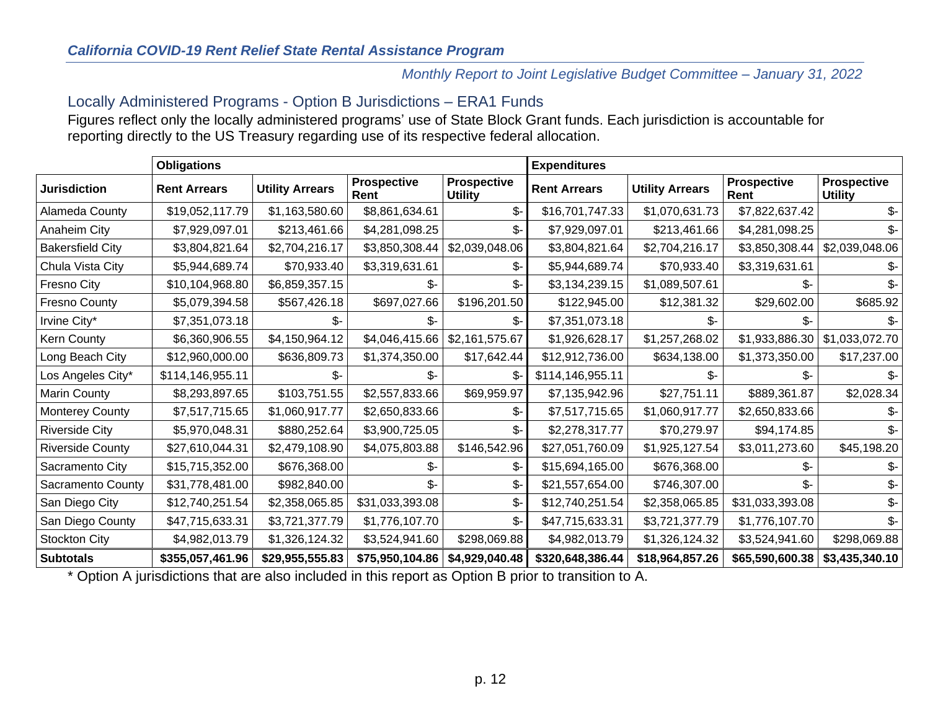# Locally Administered Programs - Option B Jurisdictions – ERA1 Funds

Figures reflect only the locally administered programs' use of State Block Grant funds. Each jurisdiction is accountable for reporting directly to the US Treasury regarding use of its respective federal allocation.

<span id="page-11-0"></span>

|                         | <b>Obligations</b>  |                        |                            |                                      | <b>Expenditures</b> |                        |                            |                                      |
|-------------------------|---------------------|------------------------|----------------------------|--------------------------------------|---------------------|------------------------|----------------------------|--------------------------------------|
| <b>Jurisdiction</b>     | <b>Rent Arrears</b> | <b>Utility Arrears</b> | <b>Prospective</b><br>Rent | <b>Prospective</b><br><b>Utility</b> | <b>Rent Arrears</b> | <b>Utility Arrears</b> | <b>Prospective</b><br>Rent | <b>Prospective</b><br><b>Utility</b> |
| Alameda County          | \$19,052,117.79     | \$1,163,580.60         | \$8,861,634.61             | $$-$                                 | \$16,701,747.33     | \$1,070,631.73         | \$7,822,637.42             | \$-                                  |
| Anaheim City            | \$7,929,097.01      | \$213,461.66           | \$4,281,098.25             | \$-                                  | \$7,929,097.01      | \$213,461.66           | \$4,281,098.25             | \$-                                  |
| <b>Bakersfield City</b> | \$3,804,821.64      | \$2,704,216.17         | \$3,850,308.44             | \$2,039,048.06                       | \$3,804,821.64      | \$2,704,216.17         | \$3,850,308.44             | \$2,039,048.06                       |
| Chula Vista City        | \$5,944,689.74      | \$70,933.40            | \$3,319,631.61             | \$-                                  | \$5,944,689.74      | \$70,933.40            | \$3,319,631.61             | ზ-                                   |
| Fresno City             | \$10,104,968.80     | \$6,859,357.15         | \$-                        | \$-                                  | \$3,134,239.15      | \$1,089,507.61         | \$-                        | \$-                                  |
| <b>Fresno County</b>    | \$5,079,394.58      | \$567,426.18           | \$697,027.66               | \$196,201.50                         | \$122,945.00        | \$12,381.32            | \$29,602.00                | \$685.92                             |
| Irvine City*            | \$7,351,073.18      | \$-                    | \$-                        | \$-                                  | \$7,351,073.18      | \$-                    | \$-                        | \$-                                  |
| Kern County             | \$6,360,906.55      | \$4,150,964.12         | \$4,046,415.66             | \$2,161,575.67                       | \$1,926,628.17      | \$1,257,268.02         | \$1,933,886.30             | \$1,033,072.70                       |
| Long Beach City         | \$12,960,000.00     | \$636,809.73           | \$1,374,350.00             | \$17,642.44                          | \$12,912,736.00     | \$634,138.00           | \$1,373,350.00             | \$17,237.00                          |
| Los Angeles City*       | \$114,146,955.11    | \$-                    | \$-                        | \$-                                  | \$114,146,955.11    | \$-                    | \$-                        | \$-                                  |
| Marin County            | \$8,293,897.65      | \$103,751.55           | \$2,557,833.66             | \$69,959.97                          | \$7,135,942.96      | \$27,751.11            | \$889,361.87               | \$2,028.34                           |
| Monterey County         | \$7,517,715.65      | \$1,060,917.77         | \$2,650,833.66             | \$-                                  | \$7,517,715.65      | \$1,060,917.77         | \$2,650,833.66             | \$-                                  |
| <b>Riverside City</b>   | \$5,970,048.31      | \$880,252.64           | \$3,900,725.05             | \$-                                  | \$2,278,317.77      | \$70,279.97            | \$94,174.85                | $\mathcal{S}$ -                      |
| Riverside County        | \$27,610,044.31     | \$2,479,108.90         | \$4,075,803.88             | \$146,542.96                         | \$27,051,760.09     | \$1,925,127.54         | \$3,011,273.60             | \$45,198.20                          |
| Sacramento City         | \$15,715,352.00     | \$676,368.00           | \$-                        | \$-                                  | \$15,694,165.00     | \$676,368.00           | \$-                        | \$-                                  |
| Sacramento County       | \$31,778,481.00     | \$982,840.00           | \$-                        | \$-                                  | \$21,557,654.00     | \$746,307.00           | \$-                        | \$-                                  |
| San Diego City          | \$12,740,251.54     | \$2,358,065.85         | \$31,033,393.08            | \$-                                  | \$12,740,251.54     | \$2,358,065.85         | \$31,033,393.08            | \$-                                  |
| San Diego County        | \$47,715,633.31     | \$3,721,377.79         | \$1,776,107.70             | \$-                                  | \$47,715,633.31     | \$3,721,377.79         | \$1,776,107.70             | \$-                                  |
| Stockton City           | \$4,982,013.79      | \$1,326,124.32         | \$3,524,941.60             | \$298,069.88                         | \$4,982,013.79      | \$1,326,124.32         | \$3,524,941.60             | \$298,069.88                         |
| <b>Subtotals</b>        | \$355,057,461.96    | \$29,955,555.83        | \$75,950,104.86            | \$4,929,040.48                       | \$320,648,386.44    | \$18,964,857.26        | \$65,590,600.38            | \$3,435,340.10                       |

\* Option A jurisdictions that are also included in this report as Option B prior to transition to A.